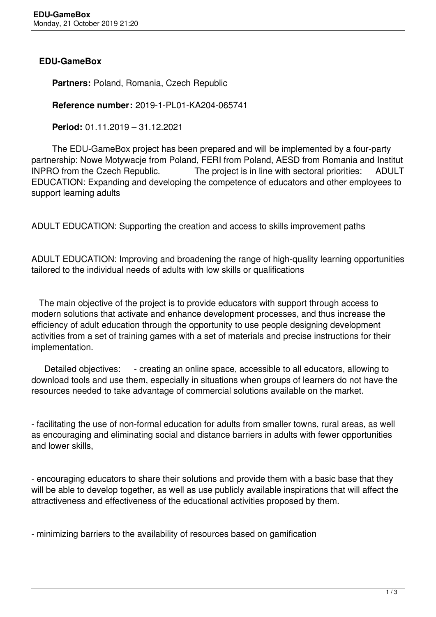## **EDU-GameBox**

 **Partners:** Poland, Romania, Czech Republic

**Reference number:** 2019-1-PL01-KA204-065741

**Period:** 01.11.2019 – 31.12.2021

 The EDU-GameBox project has been prepared and will be implemented by a four-party partnership: Nowe Motywacje from Poland, FERI from Poland, AESD from Romania and Institut INPRO from the Czech Republic. The project is in line with sectoral priorities: ADULT EDUCATION: Expanding and developing the competence of educators and other employees to support learning adults

ADULT EDUCATION: Supporting the creation and access to skills improvement paths

ADULT EDUCATION: Improving and broadening the range of high-quality learning opportunities tailored to the individual needs of adults with low skills or qualifications

 The main objective of the project is to provide educators with support through access to modern solutions that activate and enhance development processes, and thus increase the efficiency of adult education through the opportunity to use people designing development activities from a set of training games with a set of materials and precise instructions for their implementation.

Detailed objectives: - creating an online space, accessible to all educators, allowing to download tools and use them, especially in situations when groups of learners do not have the resources needed to take advantage of commercial solutions available on the market.

- facilitating the use of non-formal education for adults from smaller towns, rural areas, as well as encouraging and eliminating social and distance barriers in adults with fewer opportunities and lower skills,

- encouraging educators to share their solutions and provide them with a basic base that they will be able to develop together, as well as use publicly available inspirations that will affect the attractiveness and effectiveness of the educational activities proposed by them.

- minimizing barriers to the availability of resources based on gamification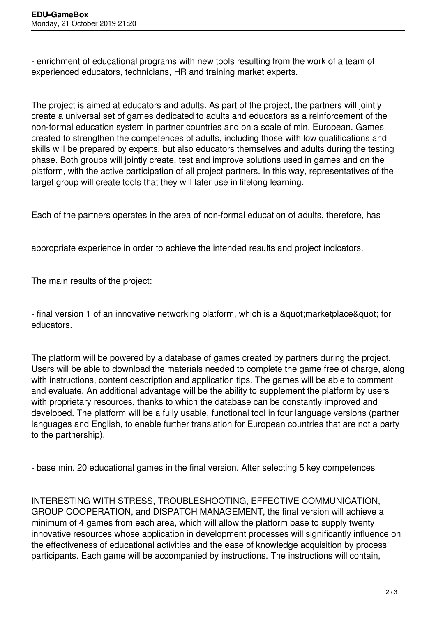- enrichment of educational programs with new tools resulting from the work of a team of experienced educators, technicians, HR and training market experts.

The project is aimed at educators and adults. As part of the project, the partners will jointly create a universal set of games dedicated to adults and educators as a reinforcement of the non-formal education system in partner countries and on a scale of min. European. Games created to strengthen the competences of adults, including those with low qualifications and skills will be prepared by experts, but also educators themselves and adults during the testing phase. Both groups will jointly create, test and improve solutions used in games and on the platform, with the active participation of all project partners. In this way, representatives of the target group will create tools that they will later use in lifelong learning.

Each of the partners operates in the area of non-formal education of adults, therefore, has

appropriate experience in order to achieve the intended results and project indicators.

The main results of the project:

- final version 1 of an innovative networking platform, which is a " market place & quot; for educators.

The platform will be powered by a database of games created by partners during the project. Users will be able to download the materials needed to complete the game free of charge, along with instructions, content description and application tips. The games will be able to comment and evaluate. An additional advantage will be the ability to supplement the platform by users with proprietary resources, thanks to which the database can be constantly improved and developed. The platform will be a fully usable, functional tool in four language versions (partner languages and English, to enable further translation for European countries that are not a party to the partnership).

- base min. 20 educational games in the final version. After selecting 5 key competences

INTERESTING WITH STRESS, TROUBLESHOOTING, EFFECTIVE COMMUNICATION, GROUP COOPERATION, and DISPATCH MANAGEMENT, the final version will achieve a minimum of 4 games from each area, which will allow the platform base to supply twenty innovative resources whose application in development processes will significantly influence on the effectiveness of educational activities and the ease of knowledge acquisition by process participants. Each game will be accompanied by instructions. The instructions will contain,